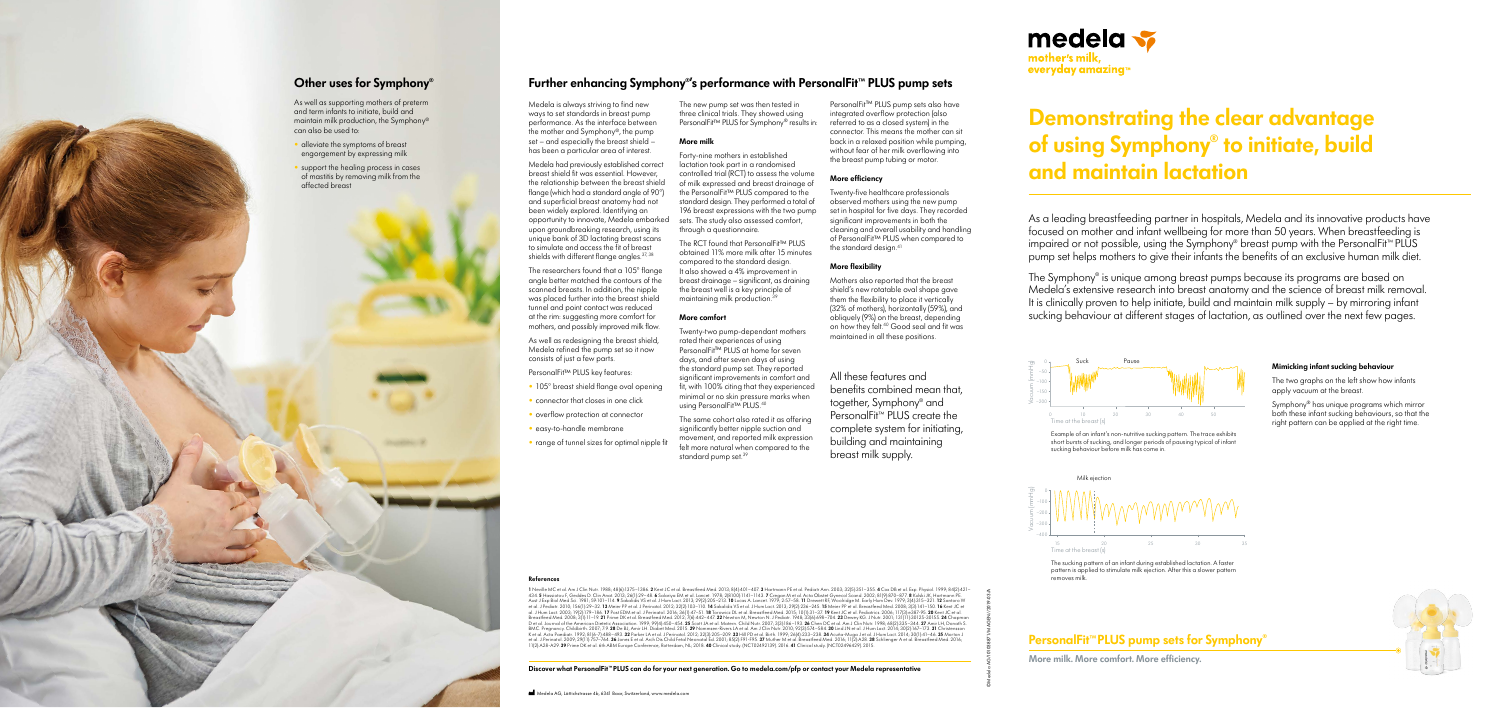impaired or not possible, using the Symphony® breast pump with the PersonalFit™ PLUS pump set helps mothers to give their infants the benefits of an exclusive human milk diet. focused on mother and infant wellbeing for more than 50 years. When breastfeeding is As a leading breastfeeding partner in hospitals, Medela and its innovative products have

 $\sim$ The Symphony® is unique among breast pumps because its programs are based on Medela's extensive research into breast anatomy and the science of breast milk removal. It is clinically proven to help initiate, build and maintain milk supply – by mirroring infant sucking behaviour at different stages of lactation, as outlined over the next few pages.

# 1 2 3 4 5 6 7 8 9 10 11 12 13 14 **Demonstrating the clear advantage of using Symphony® to initiate, build and maintain lactation**



## **Mimicking infant sucking behaviour**

The two graphs on the left show how infants apply vacuum at the breast.

Symphony® has unique programs which mirror both these infant sucking behaviours, so that the right pattern can be applied at the right time.

#### **References**

1 Neville MC et al. Am J Clin Nutr. 1988; 48(6):1375–1386. 2 Kent JC et al. Breastfeed Med. 2013; 8(4):401–407. 3 Hartmann PE et al. Pediatr Ann. 2003; 32(5):351–355. 4 Cox DB et al. Exp. Physiol. 1999; 84(2):421–43. 28 Ne 11(2):A28-A29. **39** Prime DK et al. 6th ABM Europe Conference, Rotterdam, NL; 2018. **40** Clinical study. (NCT02492139). 2016. **41** Clinical study. (NCT02496429). 2015.

Medela had previously established correct breast shield fit was essential. However, the relationship between the breast shield flange (which had a standard angle of 90°) and superficial breast anatomy had not been widely explored. Identifying an opportunity to innovate, Medela embarked upon groundbreaking research, using its unique bank of 3D lactating breast scans to simulate and access the fit of breast shields with different flange angles. 37, 38

- 105° breast shield flange oval opening
- connector that closes in one click
- overflow protection at connector
- easy-to-handle membrane
- range of tunnel sizes for optimal nipple fit

The new pump set was then tested in three clinical trials. They showed using PersonalFit™ PLUS for Symphony® results in:

The RCT found that PersonalFit™ PLUS obtained 11% more milk after 15 minutes compared to the standard design. It also showed a 4% improvement in breast drainage – significant, as draining the breast well is a key principle of maintaining milk production.<sup>36</sup>

The same cohort also rated it as offering significantly better nipple suction and movement, and reported milk expression felt more natural when compared to the standard pump set.<sup>39</sup>

Twenty-five healthcare professionals observed mothers using the new pump set in hospital for five days. They recorded significant improvements in both the cleaning and overall usability and handling of PersonalFit™ PLUS when compared to the standard desian.<sup>41</sup>

Medela is always striving to find new ways to set standards in breast pump performance. As the interface between the mother and Symphony®, the pump set – and especially the breast shield – has been a particular area of interest.



More milk. More comfort. More efficiency.



The sucking pattern of an infant during established lactation. A faster pattern is applied to stimulate milk ejection. After this a slower pattern removes milk.

The researchers found that a 105° flange angle better matched the contours of the scanned breasts. In addition, the nipple was placed further into the breast shield tunnel and point contact was reduced at the rim: suggesting more comfort for mothers, and possibly improved milk flow.

As well as redesigning the breast shield, Medela refined the pump set so it now consists of just a few parts.

PersonalFit™ PLUS key features:

### **More milk**

Forty-nine mothers in established lactation took part in a randomised controlled trial (RCT) to assess the volume of milk expressed and breast drainage of the PersonalFit™ PLUS compared to the standard design. They performed a total of 196 breast expressions with the two pump sets. The study also assessed comfort, through a questionnaire.

### **More comfort**

Twenty-two pump-dependant mothers rated their experiences of using PersonalFit™ PLUS at home for seven days, and after seven days of using the standard pump set. They reported significant improvements in comfort and fit, with 100% citing that they experienced minimal or no skin pressure marks when using PersonalFit™ PLUS.40

PersonalFit™ PLUS pump sets also have integrated overflow protection (also referred to as a closed system) in the connector. This means the mother can sit back in a relaxed position while pumping, without fear of her milk overflowing into the breast pump tubing or motor.

## **More efficiency**

## **More flexibility**

Mothers also reported that the breast shield's new rotatable oval shape gave them the flexibility to place it vertically (32% of mothers), horizontally (59%), and obliquely (9%) on the breast, depending on how they felt.40 Good seal and fit was maintained in all these positions.

## **Further enhancing Symphony® 's performance with PersonalFit™ PLUS pump sets**

**Discover what PersonalFit™ PLUS can do for your next generation. Go to medela.com/pfp or contact your Medela representative**

©Medela AG/101038871/MAGEN//2019-03/A

All these features and benefits combined mean that, together, Symphony® and PersonalFit™ PLUS create the complete system for initiating, building and maintaining breast milk supply.



## **Other uses for Symphony®**

As well as supporting mothers of preterm and term infants to initiate, build and maintain milk production, the Symphony® can also be used to:

- alleviate the symptoms of breast engorgement by expressing milk
- support the healing process in cases of mastitis by removing milk from the affected breast